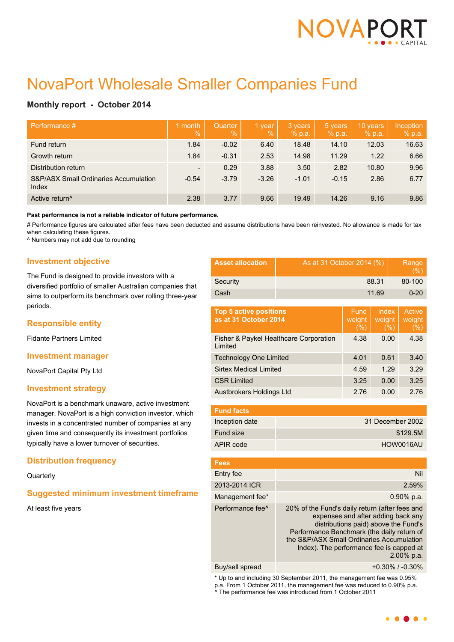

# NovaPort Wholesale Smaller Companies Fund

# **Monthly report - October 2014**

| Performance #                                  | month<br>$\sqrt{2}$      | <b>Quarter</b><br>$\sqrt{2}$ | 1 year<br>$\%$ | 3 years<br>% p.a. | 5 years<br>% p.a. | 10 years<br>% p.a. | Inception<br>% p.a. |
|------------------------------------------------|--------------------------|------------------------------|----------------|-------------------|-------------------|--------------------|---------------------|
| Fund return                                    | 1.84                     | $-0.02$                      | 6.40           | 18.48             | 14.10             | 12.03              | 16.63               |
| Growth return                                  | 1.84                     | $-0.31$                      | 2.53           | 14.98             | 11.29             | 1.22               | 6.66                |
| Distribution return                            | $\overline{\phantom{a}}$ | 0.29                         | 3.88           | 3.50              | 2.82              | 10.80              | 9.96                |
| S&P/ASX Small Ordinaries Accumulation<br>Index | $-0.54$                  | $-3.79$                      | $-3.26$        | $-1.01$           | $-0.15$           | 2.86               | 6.77                |
| Active return <sup>^</sup>                     | 2.38                     | 3.77                         | 9.66           | 19.49             | 14.26             | 9.16               | 9.86                |

**Past performance is not a reliable indicator of future performance.**

# Performance figures are calculated after fees have been deducted and assume distributions have been reinvested. No allowance is made for tax when calculating these figures.

^ Numbers may not add due to rounding

## **Investment objective**

The Fund is designed to provide investors with a diversified portfolio of smaller Australian companies that aims to outperform its benchmark over rolling three-year periods.

## **Responsible entity**

Fidante Partners Limited

#### **Investment manager**

NovaPort Capital Pty Ltd

#### **Investment strategy**

NovaPort is a benchmark unaware, active investment manager. NovaPort is a high conviction investor, which invests in a concentrated number of companies at any given time and consequently its investment portfolios typically have a lower turnover of securities.

## **Distribution frequency**

**Quarterly** 

## **Suggested minimum investment timeframe**

At least five years

| <b>Asset allocation</b> | As at 31 October 2014 (%) | Range<br>(% ) |
|-------------------------|---------------------------|---------------|
| Security                | 88.31                     | 80-100        |
| Cash                    | 11.69                     | $0 - 20$      |

| <b>Top 5 active positions</b><br>as at 31 October 2014 | Fund<br>weight<br>(% ) | Index<br>weight<br>(%) | Active<br>weight<br>(% ) |
|--------------------------------------------------------|------------------------|------------------------|--------------------------|
| Fisher & Paykel Healthcare Corporation<br>Limited      | 4.38                   | 0.00                   | 4.38                     |
| <b>Technology One Limited</b>                          | 4.01                   | 0.61                   | 3.40                     |
| <b>Sirtex Medical Limited</b>                          | 4.59                   | 1.29                   | 3.29                     |
| <b>CSR Limited</b>                                     | 3.25                   | 0.00                   | 3.25                     |
| Austbrokers Holdings Ltd                               | 2.76                   | 0.00                   | 2.76                     |

| <b>Fund facts</b> |                  |
|-------------------|------------------|
| Inception date    | 31 December 2002 |
| Fund size         | \$129.5M         |
| APIR code         | HOW0016AU        |

| <b>Fees</b>                  |                                                                                                                                                                                                                                                                                      |
|------------------------------|--------------------------------------------------------------------------------------------------------------------------------------------------------------------------------------------------------------------------------------------------------------------------------------|
| Entry fee                    | Nil                                                                                                                                                                                                                                                                                  |
| 2013-2014 ICR                | 2.59%                                                                                                                                                                                                                                                                                |
| Management fee*              | $0.90\%$ p.a.                                                                                                                                                                                                                                                                        |
| Performance fee <sup>^</sup> | 20% of the Fund's daily return (after fees and<br>expenses and after adding back any<br>distributions paid) above the Fund's<br>Performance Benchmark (the daily return of<br>the S&P/ASX Small Ordinaries Accumulation<br>Index). The performance fee is capped at<br>$2.00\%$ p.a. |
|                              |                                                                                                                                                                                                                                                                                      |

Buy/sell spread +0.30% / -0.30%

\* Up to and including 30 September 2011, the management fee was 0.95% p.a. From 1 October 2011, the management fee was reduced to 0.90% p.a. ^ The performance fee was introduced from 1 October 2011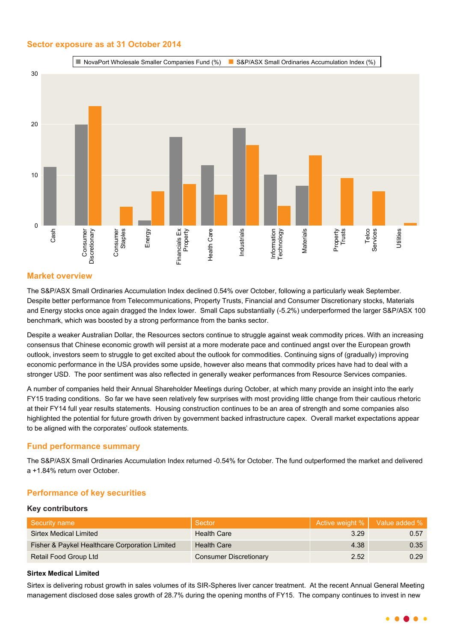## **Sector exposure as at 31 October 2014**



## **Market overview**

The S&P/ASX Small Ordinaries Accumulation Index declined 0.54% over October, following a particularly weak September. Despite better performance from Telecommunications, Property Trusts, Financial and Consumer Discretionary stocks, Materials and Energy stocks once again dragged the Index lower. Small Caps substantially (-5.2%) underperformed the larger S&P/ASX 100 benchmark, which was boosted by a strong performance from the banks sector.

Despite a weaker Australian Dollar, the Resources sectors continue to struggle against weak commodity prices. With an increasing consensus that Chinese economic growth will persist at a more moderate pace and continued angst over the European growth outlook, investors seem to struggle to get excited about the outlook for commodities. Continuing signs of (gradually) improving economic performance in the USA provides some upside, however also means that commodity prices have had to deal with a stronger USD. The poor sentiment was also reflected in generally weaker performances from Resource Services companies.

A number of companies held their Annual Shareholder Meetings during October, at which many provide an insight into the early FY15 trading conditions. So far we have seen relatively few surprises with most providing little change from their cautious rhetoric at their FY14 full year results statements. Housing construction continues to be an area of strength and some companies also highlighted the potential for future growth driven by government backed infrastructure capex. Overall market expectations appear to be aligned with the corporates' outlook statements.

## **Fund performance summary**

The S&P/ASX Small Ordinaries Accumulation Index returned -0.54% for October. The fund outperformed the market and delivered a +1.84% return over October.

## **Performance of key securities**

#### **Key contributors**

| Security name                                  | Sector                        | Active weight %   Value added % |      |
|------------------------------------------------|-------------------------------|---------------------------------|------|
| Sirtex Medical Limited                         | <b>Health Care</b>            | 3.29                            | 0.57 |
| Fisher & Paykel Healthcare Corporation Limited | <b>Health Care</b>            | 4.38                            | 0.35 |
| Retail Food Group Ltd                          | <b>Consumer Discretionary</b> | 2.52                            | 0.29 |

## **Sirtex Medical Limited**

Sirtex is delivering robust growth in sales volumes of its SIR-Spheres liver cancer treatment. At the recent Annual General Meeting management disclosed dose sales growth of 28.7% during the opening months of FY15. The company continues to invest in new